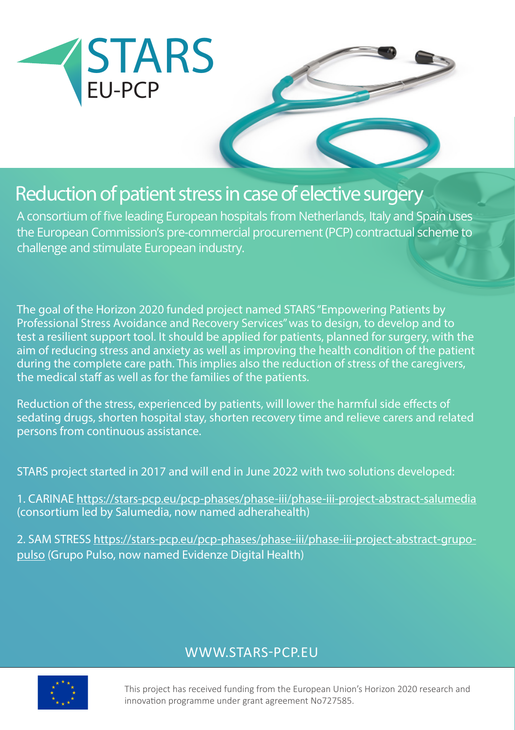

## Reduction of patient stress in case of elective surgery

A consortium of five leading European hospitals from Netherlands, Italy and Spain uses the European Commission's pre-commercial procurement (PCP) contractual scheme to challenge and stimulate European industry.

The goal of the Horizon 2020 funded project named STARS "Empowering Patients by Professional Stress Avoidance and Recovery Services" was to design, to develop and to test a resilient support tool. It should be applied for patients, planned for surgery, with the aim of reducing stress and anxiety as well as improving the health condition of the patient during the complete care path. This implies also the reduction of stress of the caregivers, the medical staff as well as for the families of the patients.

Reduction of the stress, experienced by patients, will lower the harmful side effects of sedating drugs, shorten hospital stay, shorten recovery time and relieve carers and related persons from continuous assistance.

STARS project started in 2017 and will end in June 2022 with two solutions developed:

1. CARINAE <https://stars-pcp.eu/pcp-phases/phase-iii/phase-iii-project-abstract-salumedia> (consortium led by Salumedia, now named adherahealth)

2. SAM STRESS [https://stars-pcp.eu/pcp-phases/phase-iii/phase-iii-project-abstract-grupo](https://stars-pcp.eu/pcp-phases/phase-iii/phase-iii-project-abstract-grupo-pulso)[pulso](https://stars-pcp.eu/pcp-phases/phase-iii/phase-iii-project-abstract-grupo-pulso) (Grupo Pulso, now named Evidenze Digital Health)

## WWW.STARS-PCP.EU



This project has received funding from the European Union's Horizon 2020 research and innovation programme under grant agreement No727585.